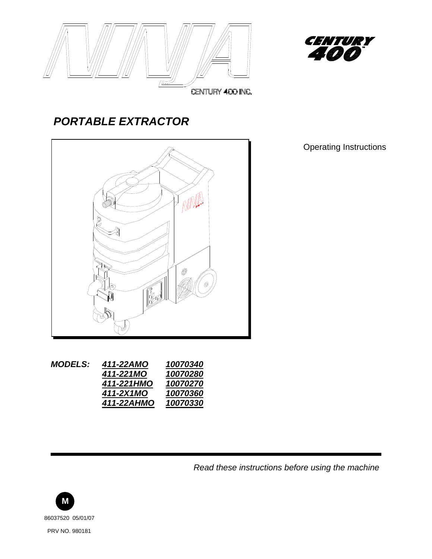



## *PORTABLE EXTRACTOR*



| <b>MODELS:</b> | 411-22AMO  | 10070340 |
|----------------|------------|----------|
|                | 411-221MO  | 10070280 |
|                | 411-221HMO | 10070270 |
|                | 411-2X1MO  | 10070360 |
|                | 411-22AHMO | 10070330 |
|                |            |          |

Operating Instructions

*Read these instructions before using the machine*

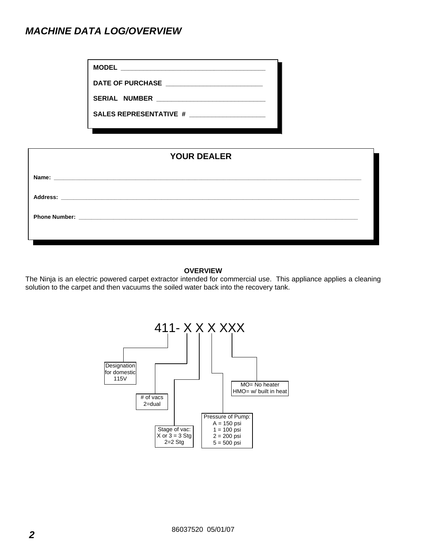## *MACHINE DATA LOG/OVERVIEW*

**MODEL** *\_\_\_\_\_\_\_\_\_\_\_\_\_\_\_\_\_\_\_\_\_\_\_\_\_\_\_\_\_\_\_\_\_\_\_\_\_\_\_* 

**DATE OF PURCHASE \_\_\_\_\_\_\_\_\_\_\_\_\_\_\_\_\_\_\_\_\_\_\_\_\_\_** 

**SERIAL NUMBER \_\_\_\_\_\_\_\_\_\_\_\_\_\_\_\_\_\_\_\_\_\_\_\_\_\_\_\_\_\_**

**SALES REPRESENTATIVE # \_\_\_\_\_\_\_\_\_\_\_\_\_\_\_\_\_\_\_\_\_** 

### **YOUR DEALER**

| Name:                |                                                                               |  |  |
|----------------------|-------------------------------------------------------------------------------|--|--|
| Address:             |                                                                               |  |  |
| <b>Phone Number:</b> | <u> 2000 - Jan Alexander (h. 1888).</u><br>1900 - Johann Alexander (h. 1800). |  |  |
|                      |                                                                               |  |  |

#### **OVERVIEW**

The Ninja is an electric powered carpet extractor intended for commercial use. This appliance applies a cleaning solution to the carpet and then vacuums the soiled water back into the recovery tank.

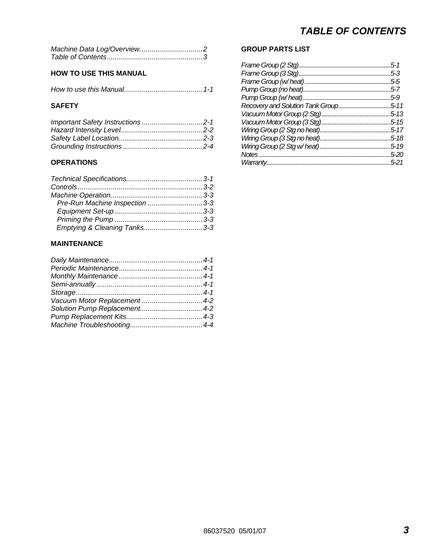### **HOW TO USE THIS MANUAL**

|--|--|--|--|--|

### **SAFETY**

| Important Safety Instructions 2-1 |  |
|-----------------------------------|--|
|                                   |  |
|                                   |  |
|                                   |  |

### **OPERATIONS**

| Pre-Run Machine Inspection 3-3 |  |
|--------------------------------|--|
|                                |  |
|                                |  |
| Emptying & Cleaning Tanks3-3   |  |

### **MAINTENANCE**

| Vacuum Motor Replacement  4-2 |  |
|-------------------------------|--|
|                               |  |
|                               |  |
|                               |  |
|                               |  |

### **GROUP PARTS LIST**

| 5-1      |
|----------|
| 5-3      |
| 5-5      |
| 5-7      |
| 5-9      |
| $5 - 11$ |
| $5 - 13$ |
| 5-15     |
| $5 - 17$ |
| $5 - 18$ |
| $5 - 19$ |
| 5-20     |
| 5-21     |
|          |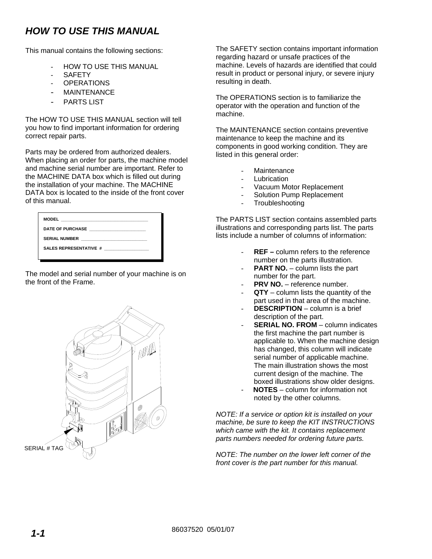## *HOW TO USE THIS MANUAL*

This manual contains the following sections:

- HOW TO USE THIS MANUAL
- **SAFETY**
- **OPERATIONS**
- **MAINTENANCE**
- PARTS LIST

The HOW TO USE THIS MANUAL section will tell you how to find important information for ordering correct repair parts.

Parts may be ordered from authorized dealers. When placing an order for parts, the machine model and machine serial number are important. Refer to the MACHINE DATA box which is filled out during the installation of your machine. The MACHINE DATA box is located to the inside of the front cover of this manual.

| DATE OF PURCHASE NATIONAL STATE OF PURCHASE |
|---------------------------------------------|
| SERIAL NUMBER <b>SERIAL SERIAL SERIAL</b>   |
| <b>SALES REPRESENTATIVE #</b>               |
|                                             |

The model and serial number of your machine is on the front of the Frame.



The SAFETY section contains important information regarding hazard or unsafe practices of the machine. Levels of hazards are identified that could result in product or personal injury, or severe injury resulting in death.

The OPERATIONS section is to familiarize the operator with the operation and function of the machine.

The MAINTENANCE section contains preventive maintenance to keep the machine and its components in good working condition. They are listed in this general order:

- **Maintenance**
- **Lubrication**
- Vacuum Motor Replacement
- Solution Pump Replacement
- **Troubleshooting**

The PARTS LIST section contains assembled parts illustrations and corresponding parts list. The parts lists include a number of columns of information:

- **REF** column refers to the reference number on the parts illustration.
- **PART NO.** column lists the part number for the part.
- **PRV NO.** reference number.
- **QTY** column lists the quantity of the part used in that area of the machine.
- **DESCRIPTION** column is a brief description of the part.
- **SERIAL NO. FROM** column indicates the first machine the part number is applicable to. When the machine design has changed, this column will indicate serial number of applicable machine. The main illustration shows the most current design of the machine. The boxed illustrations show older designs.
- **NOTES** column for information not noted by the other columns.

*NOTE: If a service or option kit is installed on your machine, be sure to keep the KIT INSTRUCTIONS which came with the kit. It contains replacement parts numbers needed for ordering future parts.*

*NOTE: The number on the lower left corner of the front cover is the part number for this manual.*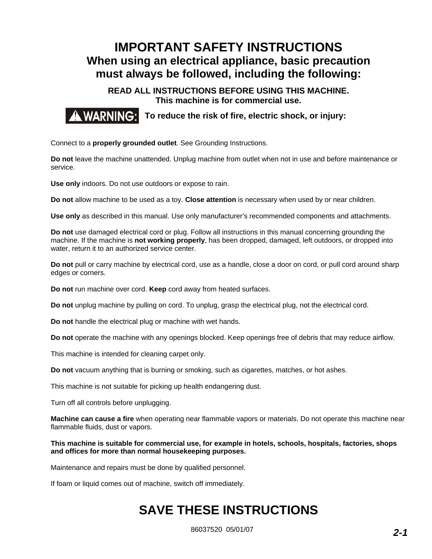## **IMPORTANT SAFETY INSTRUCTIONS When using an electrical appliance, basic precaution must always be followed, including the following:**

**READ ALL INSTRUCTIONS BEFORE USING THIS MACHINE. This machine is for commercial use.** 

**AWARNING: To reduce the risk of fire, electric shock, or injury:** 

Connect to a **properly grounded outlet**. See Grounding Instructions.

**Do not** leave the machine unattended. Unplug machine from outlet when not in use and before maintenance or service.

**Use only** indoors. Do not use outdoors or expose to rain.

**Do not** allow machine to be used as a toy. **Close attention** is necessary when used by or near children.

**Use only** as described in this manual. Use only manufacturer's recommended components and attachments.

**Do not** use damaged electrical cord or plug. Follow all instructions in this manual concerning grounding the machine. If the machine is **not working properly**, has been dropped, damaged, left outdoors, or dropped into water, return it to an authorized service center.

**Do not** pull or carry machine by electrical cord, use as a handle, close a door on cord, or pull cord around sharp edges or corners.

**Do not** run machine over cord. **Keep** cord away from heated surfaces.

**Do not** unplug machine by pulling on cord. To unplug, grasp the electrical plug, not the electrical cord.

**Do not** handle the electrical plug or machine with wet hands.

**Do not** operate the machine with any openings blocked. Keep openings free of debris that may reduce airflow.

This machine is intended for cleaning carpet only.

**Do not** vacuum anything that is burning or smoking, such as cigarettes, matches, or hot ashes.

This machine is not suitable for picking up health endangering dust.

Turn off all controls before unplugging.

**Machine can cause a fire** when operating near flammable vapors or materials. Do not operate this machine near flammable fluids, dust or vapors.

**This machine is suitable for commercial use, for example in hotels, schools, hospitals, factories, shops and offices for more than normal housekeeping purposes.** 

Maintenance and repairs must be done by qualified personnel.

If foam or liquid comes out of machine, switch off immediately.

## **SAVE THESE INSTRUCTIONS**

86037520 05/01/07 *2-1*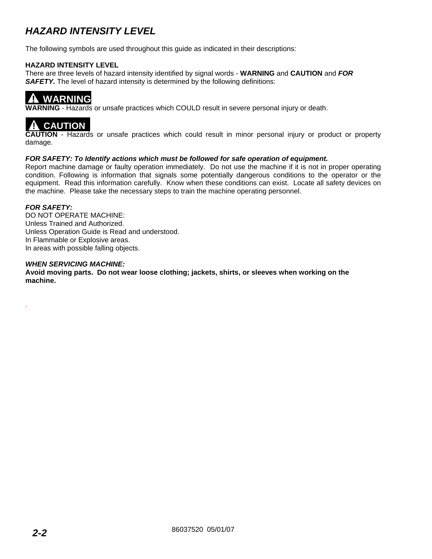## *HAZARD INTENSITY LEVEL*

The following symbols are used throughout this guide as indicated in their descriptions:

#### **HAZARD INTENSITY LEVEL**

There are three levels of hazard intensity identified by signal words - **WARNING** and **CAUTION** and *FOR*  **SAFETY.** The level of hazard intensity is determined by the following definitions:

## **! WARNING**

**WARNING** - Hazards or unsafe practices which COULD result in severe personal injury or death.



**CAUTION** - Hazards or unsafe practices which could result in minor personal injury or product or property damage.

#### *FOR SAFETY: To Identify actions which must be followed for safe operation of equipment.*

Report machine damage or faulty operation immediately. Do not use the machine if it is not in proper operating condition. Following is information that signals some potentially dangerous conditions to the operator or the equipment. Read this information carefully. Know when these conditions can exist. Locate all safety devices on the machine. Please take the necessary steps to train the machine operating personnel.

### *FOR SAFETY:*

.

DO NOT OPERATE MACHINE: Unless Trained and Authorized. Unless Operation Guide is Read and understood. In Flammable or Explosive areas. In areas with possible falling objects.

#### *WHEN SERVICING MACHINE:*

**Avoid moving parts. Do not wear loose clothing; jackets, shirts, or sleeves when working on the machine.**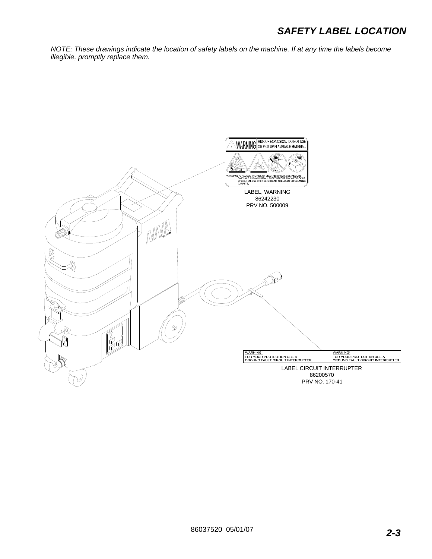## *SAFETY LABEL LOCATION*

*NOTE: These drawings indicate the location of safety labels on the machine. If at any time the labels become illegible, promptly replace them.* 

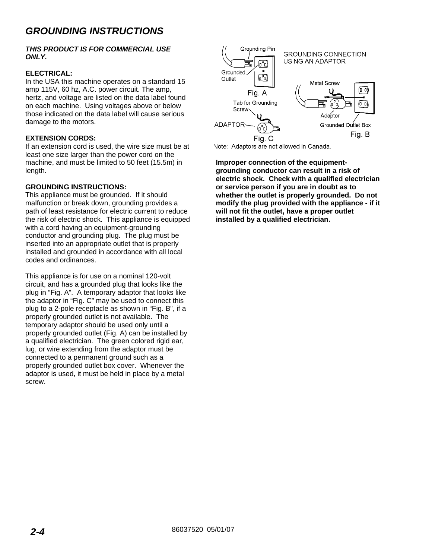## *GROUNDING INSTRUCTIONS*

#### *THIS PRODUCT IS FOR COMMERCIAL USE ONLY.*

### **ELECTRICAL:**

In the USA this machine operates on a standard 15 amp 115V, 60 hz, A.C. power circuit. The amp, hertz, and voltage are listed on the data label found on each machine. Using voltages above or below those indicated on the data label will cause serious damage to the motors.

#### **EXTENSION CORDS:**

If an extension cord is used, the wire size must be at least one size larger than the power cord on the machine, and must be limited to 50 feet (15.5m) in length.

#### **GROUNDING INSTRUCTIONS:**

This appliance must be grounded. If it should malfunction or break down, grounding provides a path of least resistance for electric current to reduce the risk of electric shock. This appliance is equipped with a cord having an equipment-grounding conductor and grounding plug. The plug must be inserted into an appropriate outlet that is properly installed and grounded in accordance with all local codes and ordinances.

This appliance is for use on a nominal 120-volt circuit, and has a grounded plug that looks like the plug in "Fig. A". A temporary adaptor that looks like the adaptor in "Fig. C" may be used to connect this plug to a 2-pole receptacle as shown in "Fig. B", if a properly grounded outlet is not available. The temporary adaptor should be used only until a properly grounded outlet (Fig. A) can be installed by a qualified electrician. The green colored rigid ear, lug, or wire extending from the adaptor must be connected to a permanent ground such as a properly grounded outlet box cover. Whenever the adaptor is used, it must be held in place by a metal screw.



Note: Adaptors are not allowed in Canada.

**Improper connection of the equipmentgrounding conductor can result in a risk of electric shock. Check with a qualified electrician or service person if you are in doubt as to whether the outlet is properly grounded. Do not modify the plug provided with the appliance - if it will not fit the outlet, have a proper outlet installed by a qualified electrician.**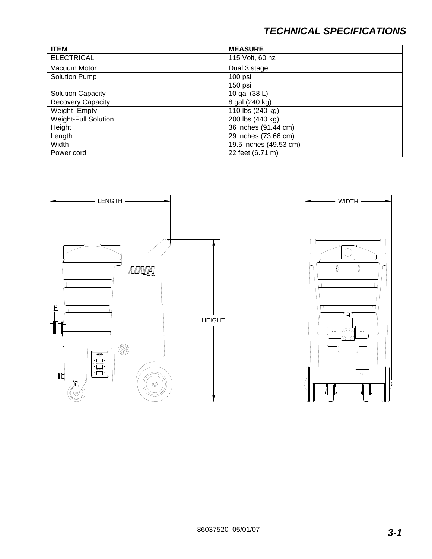## *TECHNICAL SPECIFICATIONS*

| <b>ITEM</b>                 | <b>MEASURE</b>         |
|-----------------------------|------------------------|
| <b>ELECTRICAL</b>           | 115 Volt, 60 hz        |
| Vacuum Motor                | Dual 3 stage           |
| Solution Pump               | 100 psi                |
|                             | 150 psi                |
| <b>Solution Capacity</b>    | 10 gal (38 L)          |
| <b>Recovery Capacity</b>    | 8 gal (240 kg)         |
| Weight- Empty               | 110 lbs (240 kg)       |
| <b>Weight-Full Solution</b> | 200 lbs (440 kg)       |
| Height                      | 36 inches (91.44 cm)   |
| Length                      | 29 inches (73.66 cm)   |
| Width                       | 19.5 inches (49.53 cm) |
| Power cord                  | 22 feet (6.71 m)       |



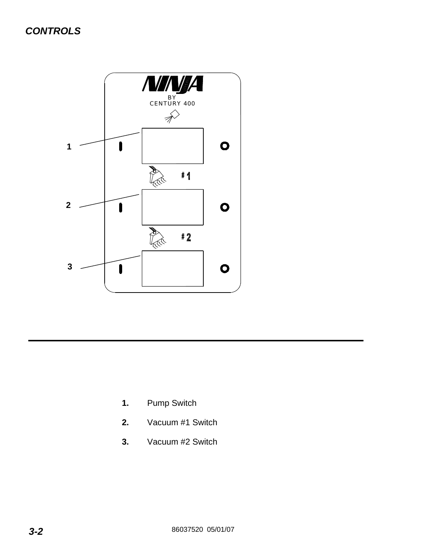

- **1.** Pump Switch
- **2.** Vacuum #1 Switch
- **3.** Vacuum #2 Switch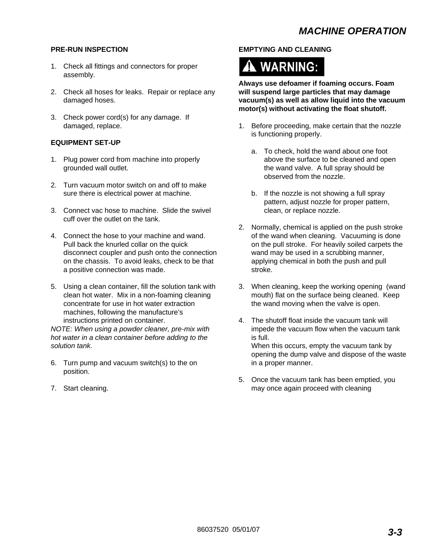#### **PRE-RUN INSPECTION**

- 1. Check all fittings and connectors for proper assembly.
- 2. Check all hoses for leaks. Repair or replace any damaged hoses.
- 3. Check power cord(s) for any damage. If damaged, replace.

#### **EQUIPMENT SET-UP**

- 1. Plug power cord from machine into properly grounded wall outlet.
- 2. Turn vacuum motor switch on and off to make sure there is electrical power at machine.
- 3. Connect vac hose to machine. Slide the swivel cuff over the outlet on the tank.
- 4. Connect the hose to your machine and wand. Pull back the knurled collar on the quick disconnect coupler and push onto the connection on the chassis. To avoid leaks, check to be that a positive connection was made.
- 5. Using a clean container, fill the solution tank with clean hot water. Mix in a non-foaming cleaning concentrate for use in hot water extraction machines, following the manufacture's instructions printed on container.

*NOTE: When using a powder cleaner, pre-mix with hot water in a clean container before adding to the solution tank.* 

- 6. Turn pump and vacuum switch(s) to the on position.
- 7. Start cleaning.

### **EMPTYING AND CLEANING**

# A WARNING:

**Always use defoamer if foaming occurs. Foam will suspend large particles that may damage vacuum(s) as well as allow liquid into the vacuum motor(s) without activating the float shutoff.** 

- 1. Before proceeding, make certain that the nozzle is functioning properly.
	- a. To check, hold the wand about one foot above the surface to be cleaned and open the wand valve. A full spray should be observed from the nozzle.
	- b. If the nozzle is not showing a full spray pattern, adjust nozzle for proper pattern, clean, or replace nozzle.
- 2. Normally, chemical is applied on the push stroke of the wand when cleaning. Vacuuming is done on the pull stroke. For heavily soiled carpets the wand may be used in a scrubbing manner, applying chemical in both the push and pull stroke.
- 3. When cleaning, keep the working opening (wand mouth) flat on the surface being cleaned. Keep the wand moving when the valve is open.
- 4. The shutoff float inside the vacuum tank will impede the vacuum flow when the vacuum tank is full. When this occurs, empty the vacuum tank by

opening the dump valve and dispose of the waste in a proper manner.

5. Once the vacuum tank has been emptied, you may once again proceed with cleaning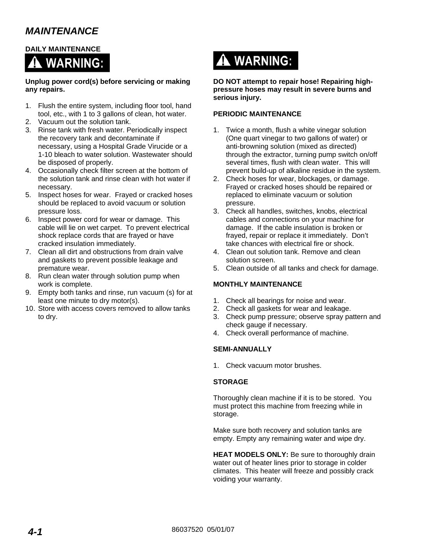## *MAINTENANCE*

### **DAILY MAINTENANCE**



**Unplug power cord(s) before servicing or making any repairs.** 

- 1. Flush the entire system, including floor tool, hand tool, etc., with 1 to 3 gallons of clean, hot water.
- 2. Vacuum out the solution tank.
- 3. Rinse tank with fresh water. Periodically inspect the recovery tank and decontaminate if necessary, using a Hospital Grade Virucide or a 1-10 bleach to water solution. Wastewater should be disposed of properly.
- 4. Occasionally check filter screen at the bottom of the solution tank and rinse clean with hot water if necessary.
- 5. Inspect hoses for wear. Frayed or cracked hoses should be replaced to avoid vacuum or solution pressure loss.
- 6. Inspect power cord for wear or damage. This cable will lie on wet carpet. To prevent electrical shock replace cords that are frayed or have cracked insulation immediately.
- 7. Clean all dirt and obstructions from drain valve and gaskets to prevent possible leakage and premature wear.
- 8. Run clean water through solution pump when work is complete.
- 9. Empty both tanks and rinse, run vacuum (s) for at least one minute to dry motor(s).
- 10. Store with access covers removed to allow tanks to dry.



**DO NOT attempt to repair hose! Repairing highpressure hoses may result in severe burns and serious injury.** 

### **PERIODIC MAINTENANCE**

- 1. Twice a month, flush a white vinegar solution (One quart vinegar to two gallons of water) or anti-browning solution (mixed as directed) through the extractor, turning pump switch on/off several times, flush with clean water. This will prevent build-up of alkaline residue in the system.
- 2. Check hoses for wear, blockages, or damage. Frayed or cracked hoses should be repaired or replaced to eliminate vacuum or solution pressure.
- 3. Check all handles, switches, knobs, electrical cables and connections on your machine for damage. If the cable insulation is broken or frayed, repair or replace it immediately. Don't take chances with electrical fire or shock.
- 4. Clean out solution tank. Remove and clean solution screen.
- 5. Clean outside of all tanks and check for damage.

### **MONTHLY MAINTENANCE**

- 1. Check all bearings for noise and wear.
- 2. Check all gaskets for wear and leakage.
- 3. Check pump pressure; observe spray pattern and check gauge if necessary.
- 4. Check overall performance of machine.

### **SEMI-ANNUALLY**

1. Check vacuum motor brushes.

### **STORAGE**

Thoroughly clean machine if it is to be stored. You must protect this machine from freezing while in storage.

Make sure both recovery and solution tanks are empty. Empty any remaining water and wipe dry.

**HEAT MODELS ONLY:** Be sure to thoroughly drain water out of heater lines prior to storage in colder climates. This heater will freeze and possibly crack voiding your warranty.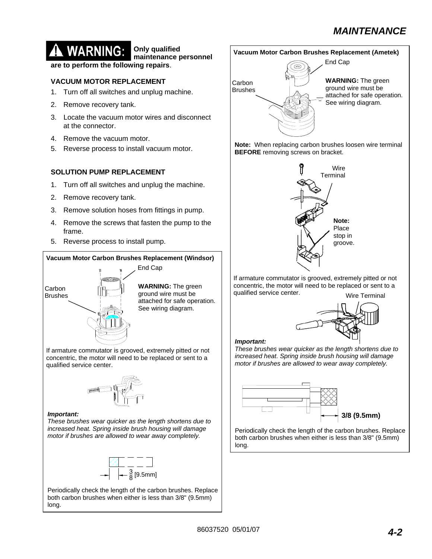## *MAINTENANCE*

## **WARNING: Only qualified**

**maintenance personnel are to perform the following repairs**.

### **VACUUM MOTOR REPLACEMENT**

- 1. Turn off all switches and unplug machine.
- 2. Remove recovery tank.
- 3. Locate the vacuum motor wires and disconnect at the connector.
- 4. Remove the vacuum motor.
- 5. Reverse process to install vacuum motor.

### **SOLUTION PUMP REPLACEMENT**

- 1. Turn off all switches and unplug the machine.
- 2. Remove recovery tank.
- 3. Remove solution hoses from fittings in pump.
- 4. Remove the screws that fasten the pump to the frame.
- 5. Reverse process to install pump.

## **Vacuum Motor Carbon Brushes Replacement (Windsor) WARNING:** The green ground wire must be attached for safe operation. See wiring diagram. End Cap **Carbon** Brushes

If armature commutator is grooved, extremely pitted or not concentric, the motor will need to be replaced or sent to a qualified service center.



#### *Important:*

*These brushes wear quicker as the length shortens due to increased heat. Spring inside brush housing will damage motor if brushes are allowed to wear away completely.* 



Periodically check the length of the carbon brushes. Replace both carbon brushes when either is less than 3/8" (9.5mm) long.

### **Vacuum Motor Carbon Brushes Replacement (Ametek)**



**Note:** When replacing carbon brushes loosen wire terminal **BEFORE** removing screws on bracket.



Wire Terminal If armature commutator is grooved, extremely pitted or not concentric, the motor will need to be replaced or sent to a qualified service center.



#### *Important:*

*These brushes wear quicker as the length shortens due to increased heat. Spring inside brush housing will damage motor if brushes are allowed to wear away completely.* 



Periodically check the length of the carbon brushes. Replace both carbon brushes when either is less than 3/8" (9.5mm) long.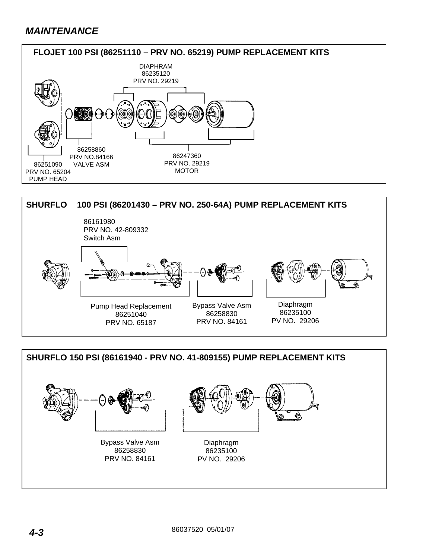## *MAINTENANCE*





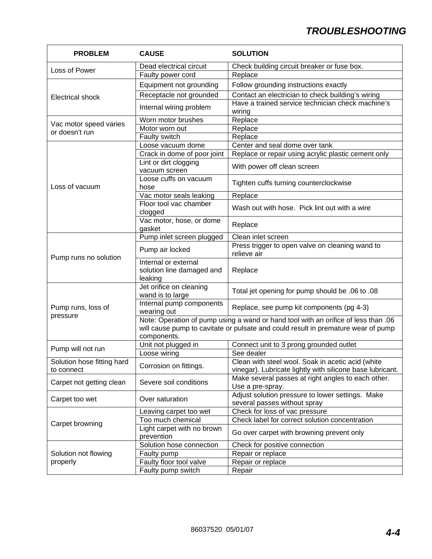| <b>PROBLEM</b>                           | <b>CAUSE</b>                                                                         | <b>SOLUTION</b>                                                                                                                                                         |  |
|------------------------------------------|--------------------------------------------------------------------------------------|-------------------------------------------------------------------------------------------------------------------------------------------------------------------------|--|
|                                          | Dead electrical circuit                                                              | Check building circuit breaker or fuse box.                                                                                                                             |  |
| Loss of Power                            | Faulty power cord                                                                    | Replace                                                                                                                                                                 |  |
|                                          | Equipment not grounding                                                              | Follow grounding instructions exactly                                                                                                                                   |  |
|                                          | Receptacle not grounded                                                              | Contact an electrician to check building's wiring                                                                                                                       |  |
| <b>Electrical shock</b>                  | Internal wiring problem                                                              | Have a trained service technician check machine's<br>wiring                                                                                                             |  |
|                                          | Worn motor brushes                                                                   | Replace                                                                                                                                                                 |  |
| Vac motor speed varies<br>or doesn't run | Motor worn out                                                                       | Replace                                                                                                                                                                 |  |
|                                          | Faulty switch                                                                        | Replace                                                                                                                                                                 |  |
|                                          | Loose vacuum dome                                                                    | Center and seal dome over tank                                                                                                                                          |  |
|                                          | Crack in dome of poor joint                                                          | Replace or repair using acrylic plastic cement only                                                                                                                     |  |
|                                          | Lint or dirt clogging<br>vacuum screen                                               | With power off clean screen                                                                                                                                             |  |
| Loss of vacuum                           | Loose cuffs on vacuum<br>hose                                                        | Tighten cuffs turning counterclockwise                                                                                                                                  |  |
|                                          | Vac motor seals leaking                                                              | Replace                                                                                                                                                                 |  |
|                                          | Floor tool vac chamber<br>clogged                                                    | Wash out with hose. Pick lint out with a wire                                                                                                                           |  |
|                                          | Vac motor, hose, or dome<br>gasket                                                   | Replace                                                                                                                                                                 |  |
|                                          | Pump inlet screen plugged                                                            | Clean inlet screen                                                                                                                                                      |  |
| Pump runs no solution                    | Pump air locked                                                                      | Press trigger to open valve on cleaning wand to<br>relieve air                                                                                                          |  |
|                                          | Internal or external<br>solution line damaged and<br>leaking                         | Replace                                                                                                                                                                 |  |
|                                          | Jet orifice on cleaning<br>wand is to large                                          | Total jet opening for pump should be .06 to .08                                                                                                                         |  |
| Pump runs, loss of<br>pressure           | Internal pump components<br>Replace, see pump kit components (pg 4-3)<br>wearing out |                                                                                                                                                                         |  |
|                                          | components.                                                                          | Note: Operation of pump using a wand or hand tool with an orifice of less than .06<br>will cause pump to cavitate or pulsate and could result in premature wear of pump |  |
| Pump will not run                        | Unit not plugged in                                                                  | Connect unit to 3 prong grounded outlet                                                                                                                                 |  |
|                                          | Loose wiring                                                                         | See dealer                                                                                                                                                              |  |
| Solution hose fitting hard<br>to connect | Corrosion on fittings.                                                               | Clean with steel wool. Soak in acetic acid (white<br>vinegar). Lubricate lightly with silicone base lubricant.                                                          |  |
| Carpet not getting clean                 | Severe soil conditions                                                               | Make several passes at right angles to each other.<br>Use a pre-spray.                                                                                                  |  |
| Carpet too wet                           | Over saturation                                                                      | Adjust solution pressure to lower settings. Make<br>several passes without spray                                                                                        |  |
|                                          | Leaving carpet too wet                                                               | Check for loss of vac pressure                                                                                                                                          |  |
| Carpet browning                          | Too much chemical                                                                    | Check label for correct solution concentration                                                                                                                          |  |
|                                          | Light carpet with no brown<br>prevention                                             | Go over carpet with browning prevent only                                                                                                                               |  |
|                                          | Solution hose connection                                                             | Check for positive connection                                                                                                                                           |  |
| Solution not flowing                     | Faulty pump                                                                          | Repair or replace                                                                                                                                                       |  |
| properly                                 | Faulty floor tool valve<br>Repair or replace                                         |                                                                                                                                                                         |  |
|                                          | Faulty pump switch                                                                   | Repair                                                                                                                                                                  |  |

r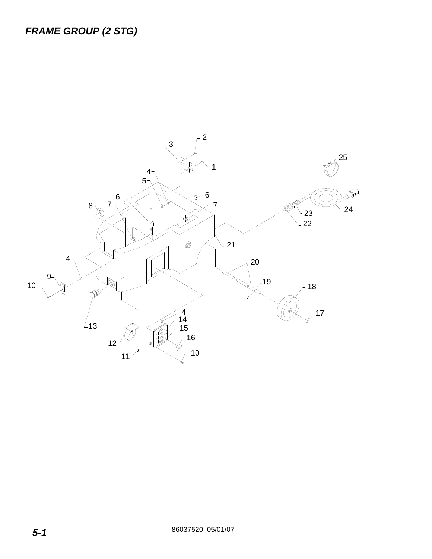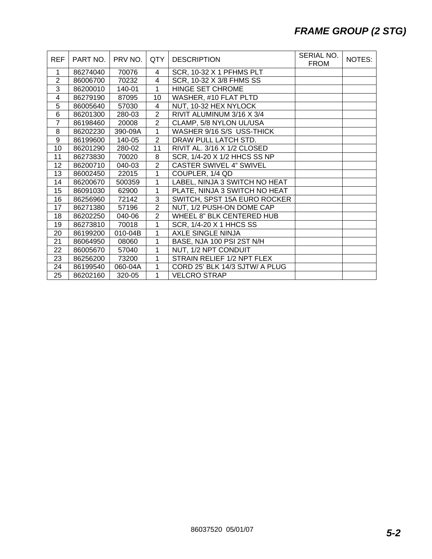## *FRAME GROUP (2 STG)*

| <b>REF</b>     | PART NO. | PRV NO. | QTY            | <b>DESCRIPTION</b>             | SERIAL NO.<br><b>FROM</b> | NOTES: |
|----------------|----------|---------|----------------|--------------------------------|---------------------------|--------|
| 1              | 86274040 | 70076   | 4              | SCR, 10-32 X 1 PFHMS PLT       |                           |        |
| $\overline{2}$ | 86006700 | 70232   | $\overline{4}$ | SCR, 10-32 X 3/8 FHMS SS       |                           |        |
| 3              | 86200010 | 140-01  | $\mathbf{1}$   | HINGE SET CHROME               |                           |        |
| 4              | 86279190 | 87095   | 10             | WASHER, #10 FLAT PLTD          |                           |        |
| 5              | 86005640 | 57030   | 4              | NUT, 10-32 HEX NYLOCK          |                           |        |
| 6              | 86201300 | 280-03  | $\overline{2}$ | RIVIT ALUMINUM 3/16 X 3/4      |                           |        |
| $\overline{7}$ | 86198460 | 20008   | $\overline{2}$ | CLAMP, 5/8 NYLON UL/USA        |                           |        |
| 8              | 86202230 | 390-09A | 1              | WASHER 9/16 S/S USS-THICK      |                           |        |
| 9              | 86199600 | 140-05  | $\overline{2}$ | DRAW PULL LATCH STD.           |                           |        |
| 10             | 86201290 | 280-02  | 11             | RIVIT AL. 3/16 X 1/2 CLOSED    |                           |        |
| 11             | 86273830 | 70020   | 8              | SCR, 1/4-20 X 1/2 HHCS SS NP   |                           |        |
| 12             | 86200710 | 040-03  | $\overline{2}$ | <b>CASTER SWIVEL 4" SWIVEL</b> |                           |        |
| 13             | 86002450 | 22015   | 1              | COUPLER, 1/4 QD                |                           |        |
| 14             | 86200670 | 500359  | 1              | LABEL, NINJA 3 SWITCH NO HEAT  |                           |        |
| 15             | 86091030 | 62900   | $\mathbf{1}$   | PLATE, NINJA 3 SWITCH NO HEAT  |                           |        |
| 16             | 86256960 | 72142   | 3              | SWITCH, SPST 15A EURO ROCKER   |                           |        |
| 17             | 86271380 | 57196   | $\overline{2}$ | NUT, 1/2 PUSH-ON DOME CAP      |                           |        |
| 18             | 86202250 | 040-06  | $\overline{2}$ | WHEEL 8" BLK CENTERED HUB      |                           |        |
| 19             | 86273810 | 70018   | $\mathbf{1}$   | SCR, 1/4-20 X 1 HHCS SS        |                           |        |
| 20             | 86199200 | 010-04B | 1              | <b>AXLE SINGLE NINJA</b>       |                           |        |
| 21             | 86064950 | 08060   | 1              | BASE, NJA 100 PSI 2ST N/H      |                           |        |
| 22             | 86005670 | 57040   | 1              | NUT, 1/2 NPT CONDUIT           |                           |        |
| 23             | 86256200 | 73200   | 1              | STRAIN RELIEF 1/2 NPT FLEX     |                           |        |
| 24             | 86199540 | 060-04A | 1              | CORD 25' BLK 14/3 SJTW/ A PLUG |                           |        |
| 25             | 86202160 | 320-05  | 1              | <b>VELCRO STRAP</b>            |                           |        |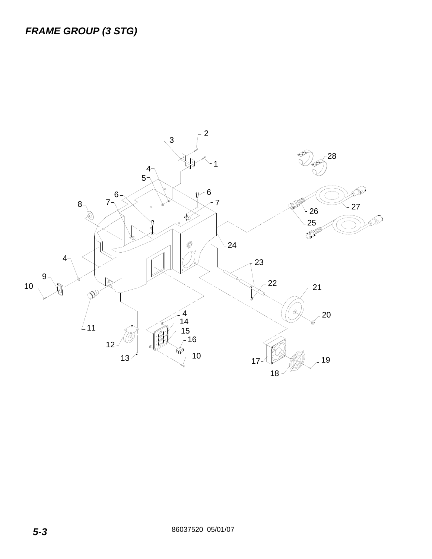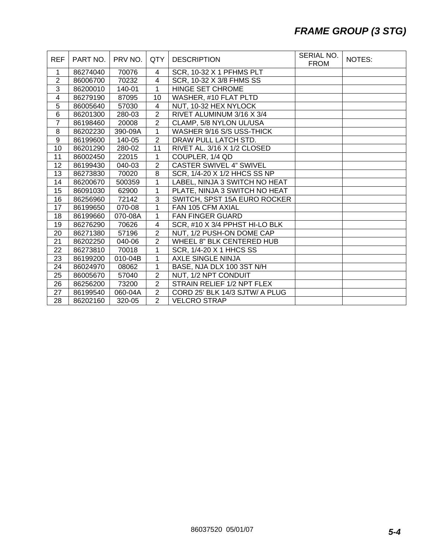## *FRAME GROUP (3 STG)*

| <b>REF</b>     | PART NO. | PRV NO. | <b>QTY</b>              | <b>DESCRIPTION</b>               | SERIAL NO.<br><b>FROM</b> | NOTES: |
|----------------|----------|---------|-------------------------|----------------------------------|---------------------------|--------|
| 1              | 86274040 | 70076   | 4                       | SCR, 10-32 X 1 PFHMS PLT         |                           |        |
| $\overline{2}$ | 86006700 | 70232   | $\overline{\mathbf{4}}$ | SCR, 10-32 X 3/8 FHMS SS         |                           |        |
| $\overline{3}$ | 86200010 | 140-01  | $\mathbf{1}$            | <b>HINGE SET CHROME</b>          |                           |        |
| 4              | 86279190 | 87095   | 10                      | WASHER, #10 FLAT PLTD            |                           |        |
| 5              | 86005640 | 57030   | 4                       | NUT, 10-32 HEX NYLOCK            |                           |        |
| 6              | 86201300 | 280-03  | $\overline{2}$          | RIVET ALUMINUM 3/16 X 3/4        |                           |        |
| $\overline{7}$ | 86198460 | 20008   | $\overline{2}$          | CLAMP, 5/8 NYLON UL/USA          |                           |        |
| 8              | 86202230 | 390-09A | $\overline{1}$          | WASHER 9/16 S/S USS-THICK        |                           |        |
| 9              | 86199600 | 140-05  | $\overline{2}$          | DRAW PULL LATCH STD.             |                           |        |
| 10             | 86201290 | 280-02  | 11                      | RIVET AL. 3/16 X 1/2 CLOSED      |                           |        |
| 11             | 86002450 | 22015   | 1                       | COUPLER, 1/4 QD                  |                           |        |
| 12             | 86199430 | 040-03  | $\overline{2}$          | <b>CASTER SWIVEL 4" SWIVEL</b>   |                           |        |
| 13             | 86273830 | 70020   | 8                       | SCR, 1/4-20 X 1/2 HHCS SS NP     |                           |        |
| 14             | 86200670 | 500359  | $\overline{1}$          | LABEL, NINJA 3 SWITCH NO HEAT    |                           |        |
| 15             | 86091030 | 62900   | 1                       | PLATE, NINJA 3 SWITCH NO HEAT    |                           |        |
| 16             | 86256960 | 72142   | $\overline{3}$          | SWITCH, SPST 15A EURO ROCKER     |                           |        |
| 17             | 86199650 | 070-08  | $\overline{1}$          | FAN 105 CFM AXIAL                |                           |        |
| 18             | 86199660 | 070-08A | $\mathbf{1}$            | FAN FINGER GUARD                 |                           |        |
| 19             | 86276290 | 70626   | 4                       | SCR, #10 X 3/4 PPHST HI-LO BLK   |                           |        |
| 20             | 86271380 | 57196   | $\overline{2}$          | NUT, 1/2 PUSH-ON DOME CAP        |                           |        |
| 21             | 86202250 | 040-06  | $\overline{2}$          | <b>WHEEL 8" BLK CENTERED HUB</b> |                           |        |
| 22             | 86273810 | 70018   | 1                       | SCR, 1/4-20 X 1 HHCS SS          |                           |        |
| 23             | 86199200 | 010-04B | $\mathbf{1}$            | <b>AXLE SINGLE NINJA</b>         |                           |        |
| 24             | 86024970 | 08062   | 1                       | BASE, NJA DLX 100 3ST N/H        |                           |        |
| 25             | 86005670 | 57040   | $\overline{2}$          | NUT, 1/2 NPT CONDUIT             |                           |        |
| 26             | 86256200 | 73200   | $\overline{2}$          | STRAIN RELIEF 1/2 NPT FLEX       |                           |        |
| 27             | 86199540 | 060-04A | $\overline{2}$          | CORD 25' BLK 14/3 SJTW/ A PLUG   |                           |        |
| 28             | 86202160 | 320-05  | $\overline{2}$          | <b>VELCRO STRAP</b>              |                           |        |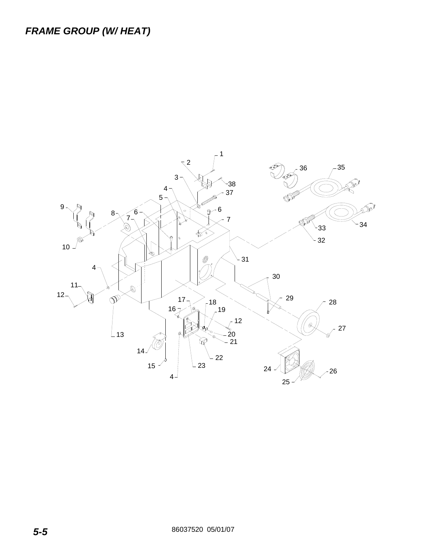## *FRAME GROUP (W/ HEAT)*

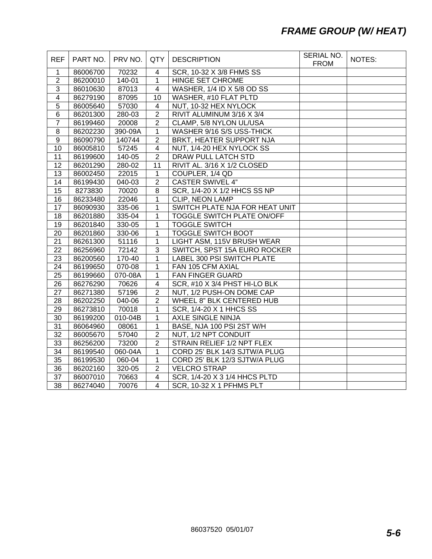## *FRAME GROUP (W/ HEAT)*

| <b>REF</b>              | PART NO. | PRV NO.     | QTY                     | <b>DESCRIPTION</b>                | SERIAL NO.<br><b>FROM</b> | NOTES: |
|-------------------------|----------|-------------|-------------------------|-----------------------------------|---------------------------|--------|
| $\mathbf{1}$            | 86006700 | 70232       | 4                       | SCR, 10-32 X 3/8 FHMS SS          |                           |        |
| $\overline{2}$          | 86200010 | 140-01      | $\mathbf{1}$            | <b>HINGE SET CHROME</b>           |                           |        |
| $\overline{3}$          | 86010630 | 87013       | $\overline{4}$          | WASHER, 1/4 ID X 5/8 OD SS        |                           |        |
| $\overline{\mathbf{4}}$ | 86279190 | 87095       | 10                      | <b>WASHER, #10 FLAT PLTD</b>      |                           |        |
| 5                       | 86005640 | 57030       | $\overline{\mathbf{4}}$ | NUT, 10-32 HEX NYLOCK             |                           |        |
| $\overline{6}$          | 86201300 | 280-03      | $\overline{2}$          | RIVIT ALUMINUM 3/16 X 3/4         |                           |        |
| $\overline{7}$          | 86199460 | 20008       | $\overline{2}$          | CLAMP, 5/8 NYLON UL/USA           |                           |        |
| 8                       | 86202230 | 390-09A     | $\mathbf{1}$            | WASHER 9/16 S/S USS-THICK         |                           |        |
| $\overline{9}$          | 86090790 | 140744      | $\overline{2}$          | BRKT, HEATER SUPPORT NJA          |                           |        |
| 10                      | 86005810 | 57245       | $\overline{4}$          | NUT, 1/4-20 HEX NYLOCK SS         |                           |        |
| 11                      | 86199600 | $140 - 05$  | $\overline{2}$          | <b>DRAW PULL LATCH STD</b>        |                           |        |
| 12                      | 86201290 | 280-02      | 11                      | RIVIT AL. 3/16 X 1/2 CLOSED       |                           |        |
| 13                      | 86002450 | 22015       | 1                       | COUPLER, 1/4 QD                   |                           |        |
| 14                      | 86199430 | 040-03      | $\overline{2}$          | <b>CASTER SWIVEL 4"</b>           |                           |        |
| 15                      | 8273830  | 70020       | 8                       | SCR, 1/4-20 X 1/2 HHCS SS NP      |                           |        |
| 16                      | 86233480 | 22046       | 1                       | <b>CLIP, NEON LAMP</b>            |                           |        |
| 17                      | 86090930 | 335-06      | $\mathbf{1}$            | SWITCH PLATE NJA FOR HEAT UNIT    |                           |        |
| 18                      | 86201880 | 335-04      | $\mathbf{1}$            | <b>TOGGLE SWITCH PLATE ON/OFF</b> |                           |        |
| 19                      | 86201840 | 330-05      | 1                       | <b>TOGGLE SWITCH</b>              |                           |        |
| 20                      | 86201860 | 330-06      | 1                       | <b>TOGGLE SWITCH BOOT</b>         |                           |        |
| 21                      | 86261300 | 51116       | 1                       | LIGHT ASM, 115V BRUSH WEAR        |                           |        |
| $\overline{22}$         | 86256960 | 72142       | $\overline{3}$          | SWITCH, SPST 15A EURO ROCKER      |                           |        |
| 23                      | 86200560 | 170-40      | $\mathbf{1}$            | LABEL 300 PSI SWITCH PLATE        |                           |        |
| 24                      | 86199650 | 070-08      | $\mathbf{1}$            | FAN 105 CFM AXIAL                 |                           |        |
| $\overline{25}$         | 86199660 | $070 - 08A$ | $\mathbf{1}$            | <b>FAN FINGER GUARD</b>           |                           |        |
| 26                      | 86276290 | 70626       | $\overline{4}$          | SCR, #10 X 3/4 PHST HI-LO BLK     |                           |        |
| 27                      | 86271380 | 57196       | $\overline{2}$          | NUT, 1/2 PUSH-ON DOME CAP         |                           |        |
| 28                      | 86202250 | 040-06      | $\overline{2}$          | WHEEL 8" BLK CENTERED HUB         |                           |        |
| 29                      | 86273810 | 70018       | 1                       | <b>SCR, 1/4-20 X 1 HHCS SS</b>    |                           |        |
| 30                      | 86199200 | 010-04B     | $\mathbf{1}$            | <b>AXLE SINGLE NINJA</b>          |                           |        |
| 31                      | 86064960 | 08061       | $\mathbf{1}$            | BASE, NJA 100 PSI 2ST W/H         |                           |        |
| 32                      | 86005670 | 57040       | $\overline{2}$          | NUT, 1/2 NPT CONDUIT              |                           |        |
| 33                      | 86256200 | 73200       | $\overline{2}$          | STRAIN RELIEF 1/2 NPT FLEX        |                           |        |
| 34                      | 86199540 | 060-04A     | 1                       | CORD 25' BLK 14/3 SJTW/A PLUG     |                           |        |
| 35                      | 86199530 | 060-04      | 1                       | CORD 25' BLK 12/3 SJTW/A PLUG     |                           |        |
| 36                      | 86202160 | 320-05      | $\overline{2}$          | <b>VELCRO STRAP</b>               |                           |        |
| 37                      | 86007010 | 70663       | $\overline{4}$          | SCR, 1/4-20 X 3 1/4 HHCS PLTD     |                           |        |
| 38                      | 86274040 | 70076       | $\overline{4}$          | SCR, 10-32 X 1 PFHMS PLT          |                           |        |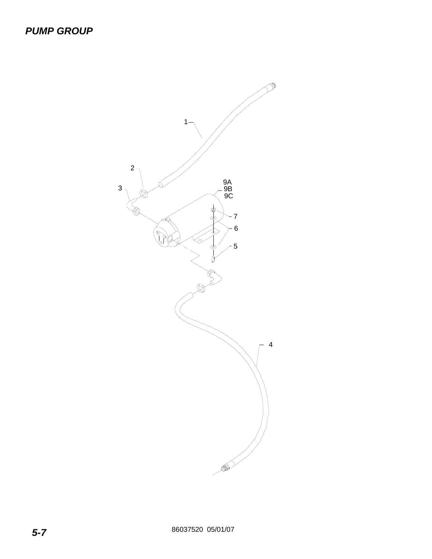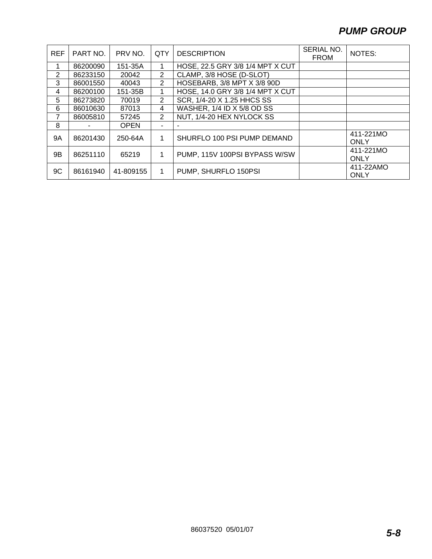## *PUMP GROUP*

| <b>REF</b>     | PART NO. | PRV NO.     | QTY | <b>DESCRIPTION</b>               | SERIAL NO.<br><b>FROM</b> | NOTES:                   |
|----------------|----------|-------------|-----|----------------------------------|---------------------------|--------------------------|
| 1              | 86200090 | 151-35A     |     | HOSE, 22.5 GRY 3/8 1/4 MPT X CUT |                           |                          |
| $\overline{2}$ | 86233150 | 20042       | 2   | CLAMP, 3/8 HOSE (D-SLOT)         |                           |                          |
| 3              | 86001550 | 40043       | 2   | HOSEBARB, 3/8 MPT X 3/8 90D      |                           |                          |
| 4              | 86200100 | 151-35B     |     | HOSE, 14.0 GRY 3/8 1/4 MPT X CUT |                           |                          |
| 5              | 86273820 | 70019       | 2   | SCR, 1/4-20 X 1.25 HHCS SS       |                           |                          |
| 6              | 86010630 | 87013       | 4   | WASHER, 1/4 ID X 5/8 OD SS       |                           |                          |
| 7              | 86005810 | 57245       | 2   | NUT, 1/4-20 HEX NYLOCK SS        |                           |                          |
| 8              |          | <b>OPEN</b> |     |                                  |                           |                          |
| 9Α             | 86201430 | 250-64A     | 1   | SHURFLO 100 PSI PUMP DEMAND      |                           | 411-221MO<br><b>ONLY</b> |
| 9Β             | 86251110 | 65219       | 1   | PUMP, 115V 100PSI BYPASS W/SW    |                           | 411-221MO<br><b>ONLY</b> |
| 9C             | 86161940 | 41-809155   | 1   | PUMP, SHURFLO 150PSI             |                           | 411-22AMO<br><b>ONLY</b> |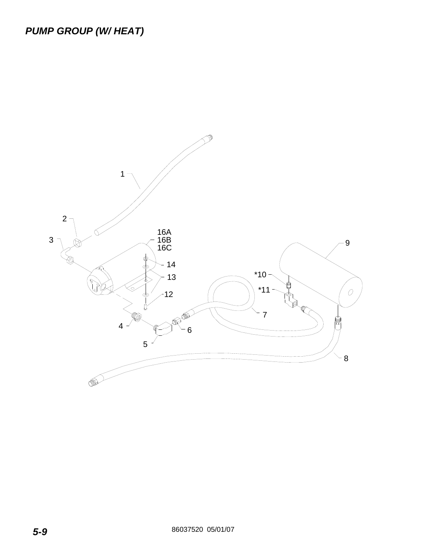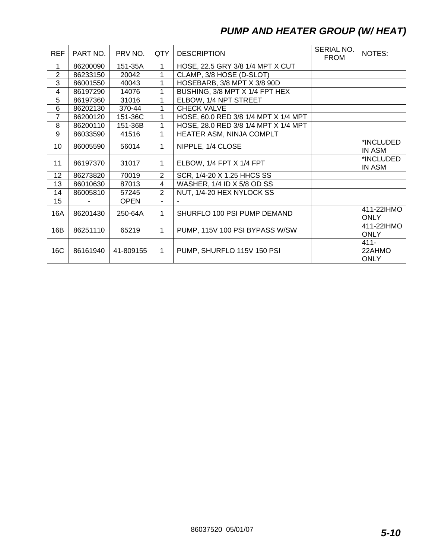## *PUMP AND HEATER GROUP (W/ HEAT)*

| <b>REF</b>       | PART NO. | PRV NO.     | QTY            | <b>DESCRIPTION</b>                   | SERIAL NO.<br><b>FROM</b> | NOTES:                           |
|------------------|----------|-------------|----------------|--------------------------------------|---------------------------|----------------------------------|
| 1                | 86200090 | 151-35A     | 1              | HOSE, 22.5 GRY 3/8 1/4 MPT X CUT     |                           |                                  |
| $\overline{2}$   | 86233150 | 20042       | $\mathbf{1}$   | CLAMP, 3/8 HOSE (D-SLOT)             |                           |                                  |
| 3                | 86001550 | 40043       | 1              | HOSEBARB, 3/8 MPT X 3/8 90D          |                           |                                  |
| 4                | 86197290 | 14076       | 1              | BUSHING, 3/8 MPT X 1/4 FPT HEX       |                           |                                  |
| 5                | 86197360 | 31016       |                | ELBOW, 1/4 NPT STREET                |                           |                                  |
| 6                | 86202130 | 370-44      | 1              | <b>CHECK VALVE</b>                   |                           |                                  |
| $\overline{7}$   | 86200120 | 151-36C     | 1              | HOSE, 60.0 RED 3/8 1/4 MPT X 1/4 MPT |                           |                                  |
| 8                | 86200110 | 151-36B     | $\mathbf{1}$   | HOSE, 28.0 RED 3/8 1/4 MPT X 1/4 MPT |                           |                                  |
| 9                | 86033590 | 41516       | 1              | HEATER ASM, NINJA COMPLT             |                           |                                  |
| 10               | 86005590 | 56014       | 1              | NIPPLE, 1/4 CLOSE                    |                           | *INCLUDED<br>IN ASM              |
| 11               | 86197370 | 31017       | 1              | ELBOW, 1/4 FPT X 1/4 FPT             |                           | *INCLUDED<br>IN ASM              |
| 12 <sub>2</sub>  | 86273820 | 70019       | $\overline{2}$ | SCR, 1/4-20 X 1.25 HHCS SS           |                           |                                  |
| 13               | 86010630 | 87013       | $\overline{4}$ | WASHER, 1/4 ID X 5/8 OD SS           |                           |                                  |
| 14               | 86005810 | 57245       | 2              | NUT, 1/4-20 HEX NYLOCK SS            |                           |                                  |
| 15 <sub>15</sub> |          | <b>OPEN</b> | ÷.             |                                      |                           |                                  |
| 16A              | 86201430 | 250-64A     | $\mathbf{1}$   | SHURFLO 100 PSI PUMP DEMAND          |                           | 411-22IHMO<br><b>ONLY</b>        |
| 16B              | 86251110 | 65219       | $\mathbf{1}$   | PUMP, 115V 100 PSI BYPASS W/SW       |                           | 411-22IHMO<br><b>ONLY</b>        |
| 16C              | 86161940 | 41-809155   | $\mathbf{1}$   | PUMP, SHURFLO 115V 150 PSI           |                           | $411 -$<br>22AHMO<br><b>ONLY</b> |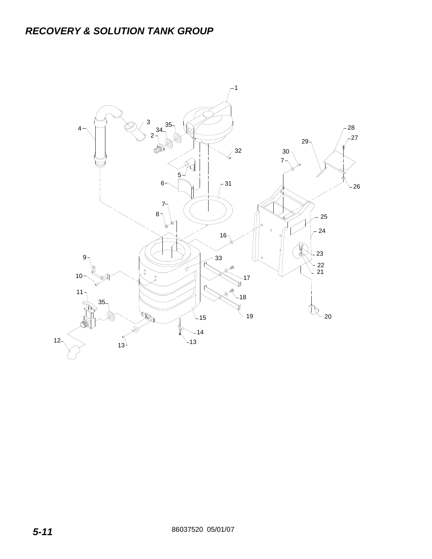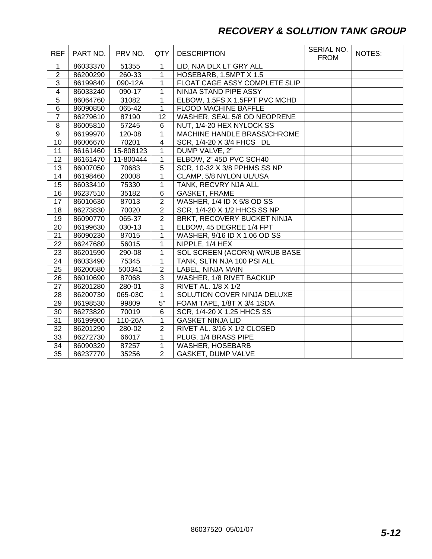## *RECOVERY & SOLUTION TANK GROUP*

| <b>REF</b>              | PART NO. | PRV NO.   | QTY             | <b>DESCRIPTION</b>             | SERIAL NO.<br><b>FROM</b> | NOTES: |
|-------------------------|----------|-----------|-----------------|--------------------------------|---------------------------|--------|
| $\mathbf{1}$            | 86033370 | 51355     | 1               | LID, NJA DLX LT GRY ALL        |                           |        |
| $\overline{2}$          | 86200290 | 260-33    | 1               | HOSEBARB, 1.5MPT X 1.5         |                           |        |
| $\sqrt{3}$              | 86199840 | 090-12A   | 1               | FLOAT CAGE ASSY COMPLETE SLIP  |                           |        |
| $\overline{\mathbf{4}}$ | 86033240 | 090-17    | $\mathbf{1}$    | NINJA STAND PIPE ASSY          |                           |        |
| $\overline{5}$          | 86064760 | 31082     | $\mathbf{1}$    | ELBOW, 1.5FS X 1.5FPT PVC MCHD |                           |        |
| 6                       | 86090850 | 065-42    | $\mathbf{1}$    | FLOOD MACHINE BAFFLE           |                           |        |
| $\overline{7}$          | 86279610 | 87190     | 12 <sub>2</sub> | WASHER, SEAL 5/8 OD NEOPRENE   |                           |        |
| 8                       | 86005810 | 57245     | 6               | NUT, 1/4-20 HEX NYLOCK SS      |                           |        |
| 9                       | 86199970 | 120-08    | 1               | MACHINE HANDLE BRASS/CHROME    |                           |        |
| 10                      | 86006670 | 70201     | $\overline{4}$  | SCR, 1/4-20 X 3/4 FHCS DL      |                           |        |
| 11                      | 86161460 | 15-808123 | 1               | DUMP VALVE, 2"                 |                           |        |
| 12                      | 86161470 | 11-800444 | $\mathbf{1}$    | ELBOW, 2" 45D PVC SCH40        |                           |        |
| 13                      | 86007050 | 70683     | $\overline{5}$  | SCR, 10-32 X 3/8 PPHMS SS NP   |                           |        |
| 14                      | 86198460 | 20008     | 1               | CLAMP, 5/8 NYLON UL/USA        |                           |        |
| 15                      | 86033410 | 75330     | $\mathbf{1}$    | TANK, RECVRY NJA ALL           |                           |        |
| 16                      | 86237510 | 35182     | 6               | <b>GASKET, FRAME</b>           |                           |        |
| 17                      | 86010630 | 87013     | $\overline{2}$  | WASHER, 1/4 ID X 5/8 OD SS     |                           |        |
| 18                      | 86273830 | 70020     | $\overline{2}$  | SCR, 1/4-20 X 1/2 HHCS SS NP   |                           |        |
| 19                      | 86090770 | 065-37    | $\overline{2}$  | BRKT, RECOVERY BUCKET NINJA    |                           |        |
| 20                      | 86199630 | 030-13    | $\mathbf{1}$    | ELBOW, 45 DEGREE 1/4 FPT       |                           |        |
| 21                      | 86090230 | 87015     | 1               | WASHER, 9/16 ID X 1.06 OD SS   |                           |        |
| 22                      | 86247680 | 56015     | $\mathbf{1}$    | NIPPLE, 1/4 HEX                |                           |        |
| 23                      | 86201590 | 290-08    | 1               | SOL SCREEN (ACORN) W/RUB BASE  |                           |        |
| 24                      | 86033490 | 75345     | $\mathbf{1}$    | TANK, SLTN NJA 100 PSI ALL     |                           |        |
| 25                      | 86200580 | 500341    | $\overline{2}$  | LABEL, NINJA MAIN              |                           |        |
| 26                      | 86010690 | 87068     | $\overline{3}$  | WASHER, 1/8 RIVET BACKUP       |                           |        |
| 27                      | 86201280 | 280-01    | $\overline{3}$  | RIVET AL. 1/8 X 1/2            |                           |        |
| 28                      | 86200730 | 065-03C   | $\mathbf{1}$    | SOLUTION COVER NINJA DELUXE    |                           |        |
| 29                      | 86198530 | 99809     | $5"$            | FOAM TAPE, 1/8T X 3/4 1SDA     |                           |        |
| 30                      | 86273820 | 70019     | 6               | SCR, 1/4-20 X 1.25 HHCS SS     |                           |        |
| 31                      | 86199900 | 110-26A   | $\mathbf{1}$    | <b>GASKET NINJA LID</b>        |                           |        |
| 32                      | 86201290 | 280-02    | $\overline{2}$  | RIVET AL. 3/16 X 1/2 CLOSED    |                           |        |
| 33                      | 86272730 | 66017     | $\mathbf{1}$    | PLUG, 1/4 BRASS PIPE           |                           |        |
| 34                      | 86090320 | 87257     | $\mathbf{1}$    | <b>WASHER, HOSEBARB</b>        |                           |        |
| $\overline{35}$         | 86237770 | 35256     | $\overline{2}$  | GASKET, DUMP VALVE             |                           |        |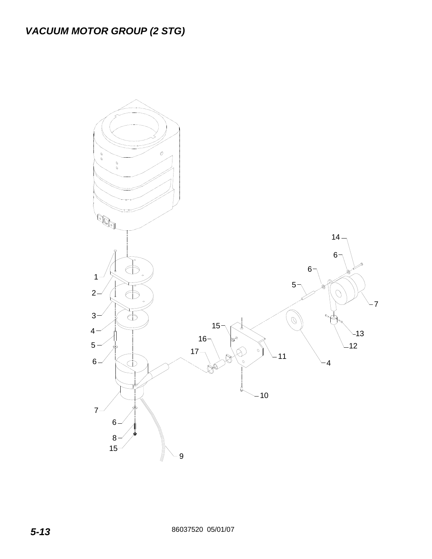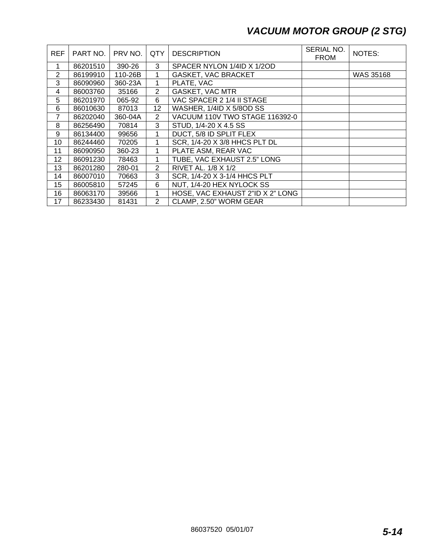## *VACUUM MOTOR GROUP (2 STG)*

| <b>REF</b>       | PART NO. | PRV NO. | QTY            | <b>DESCRIPTION</b>               | SERIAL NO.<br><b>FROM</b> | NOTES:           |
|------------------|----------|---------|----------------|----------------------------------|---------------------------|------------------|
| 1                | 86201510 | 390-26  | 3              | SPACER NYLON 1/4ID X 1/2OD       |                           |                  |
| $\overline{2}$   | 86199910 | 110-26B | 1              | <b>GASKET, VAC BRACKET</b>       |                           | <b>WAS 35168</b> |
| 3                | 86090960 | 360-23A | 1              | PLATE, VAC                       |                           |                  |
| 4                | 86003760 | 35166   | $\overline{2}$ | <b>GASKET, VAC MTR</b>           |                           |                  |
| 5                | 86201970 | 065-92  | 6              | VAC SPACER 2 1/4 II STAGE        |                           |                  |
| 6                | 86010630 | 87013   | 12             | WASHER, 1/4ID X 5/8OD SS         |                           |                  |
| 7                | 86202040 | 360-04A | $\overline{2}$ | VACUUM 110V TWO STAGE 116392-0   |                           |                  |
| 8                | 86256490 | 70814   | 3              | STUD, 1/4-20 X 4.5 SS            |                           |                  |
| 9                | 86134400 | 99656   | 1              | DUCT, 5/8 ID SPLIT FLEX          |                           |                  |
| 10               | 86244460 | 70205   |                | SCR, 1/4-20 X 3/8 HHCS PLT DL    |                           |                  |
| 11               | 86090950 | 360-23  | 1              | PLATE ASM, REAR VAC              |                           |                  |
| 12               | 86091230 | 78463   | 1              | TUBE, VAC EXHAUST 2.5" LONG      |                           |                  |
| 13               | 86201280 | 280-01  | $\overline{2}$ | RIVET AL. 1/8 X 1/2              |                           |                  |
| 14               | 86007010 | 70663   | 3              | SCR, 1/4-20 X 3-1/4 HHCS PLT     |                           |                  |
| 15 <sup>15</sup> | 86005810 | 57245   | 6              | NUT, 1/4-20 HEX NYLOCK SS        |                           |                  |
| 16               | 86063170 | 39566   |                | HOSE, VAC EXHAUST 2"ID X 2" LONG |                           |                  |
| 17               | 86233430 | 81431   | $\overline{2}$ | CLAMP, 2.50" WORM GEAR           |                           |                  |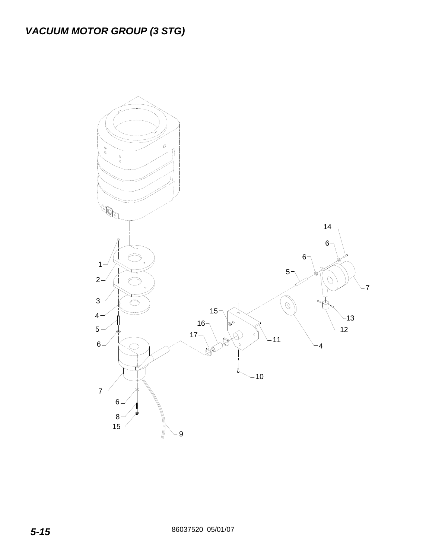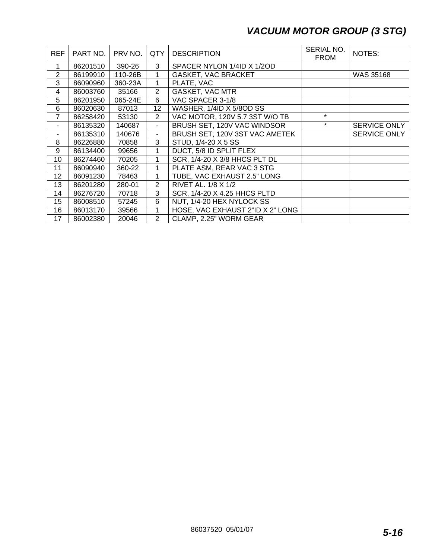## *VACUUM MOTOR GROUP (3 STG)*

| <b>REF</b>     | PART NO. | PRV NO. | QTY                      | <b>DESCRIPTION</b>               | SERIAL NO.<br><b>FROM</b> | NOTES:       |
|----------------|----------|---------|--------------------------|----------------------------------|---------------------------|--------------|
| 1              | 86201510 | 390-26  | 3                        | SPACER NYLON 1/4ID X 1/2OD       |                           |              |
| $\overline{2}$ | 86199910 | 110-26B |                          | <b>GASKET, VAC BRACKET</b>       |                           | WAS 35168    |
| 3              | 86090960 | 360-23A | 1                        | PLATE, VAC                       |                           |              |
| 4              | 86003760 | 35166   | $\overline{2}$           | <b>GASKET, VAC MTR</b>           |                           |              |
| 5              | 86201950 | 065-24E | 6                        | VAC SPACER 3-1/8                 |                           |              |
| 6              | 86020630 | 87013   | 12                       | WASHER, 1/4ID X 5/8OD SS         |                           |              |
| 7              | 86258420 | 53130   | $\overline{2}$           | VAC MOTOR, 120V 5.7 3ST W/O TB   | $\star$                   |              |
| ۰.             | 86135320 | 140687  | $\overline{\phantom{0}}$ | BRUSH SET, 120V VAC WINDSOR      | $\star$                   | SERVICE ONLY |
|                | 86135310 | 140676  | ÷,                       | BRUSH SET, 120V 3ST VAC AMETEK   |                           | SERVICE ONLY |
| 8              | 86226880 | 70858   | 3                        | STUD, 1/4-20 X 5 SS              |                           |              |
| 9              | 86134400 | 99656   | 1                        | DUCT, 5/8 ID SPLIT FLEX          |                           |              |
| 10             | 86274460 | 70205   |                          | SCR, 1/4-20 X 3/8 HHCS PLT DL    |                           |              |
| 11             | 86090940 | 360-22  |                          | PLATE ASM, REAR VAC 3 STG        |                           |              |
| 12             | 86091230 | 78463   | 1                        | TUBE, VAC EXHAUST 2.5" LONG      |                           |              |
| 13             | 86201280 | 280-01  | $\overline{2}$           | RIVET AL. 1/8 X 1/2              |                           |              |
| 14             | 86276720 | 70718   | 3                        | SCR, 1/4-20 X 4.25 HHCS PLTD     |                           |              |
| 15             | 86008510 | 57245   | 6                        | NUT, 1/4-20 HEX NYLOCK SS        |                           |              |
| 16             | 86013170 | 39566   |                          | HOSE, VAC EXHAUST 2"ID X 2" LONG |                           |              |
| 17             | 86002380 | 20046   | $\overline{2}$           | CLAMP, 2.25" WORM GEAR           |                           |              |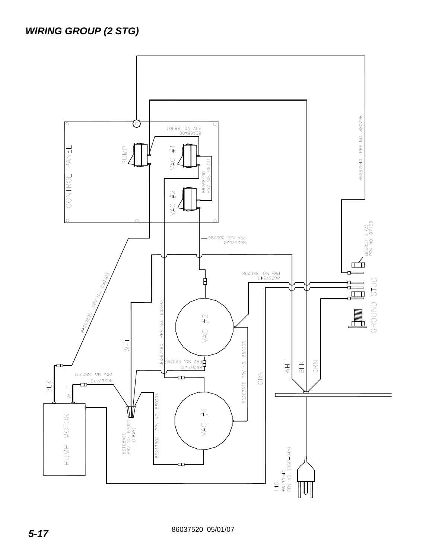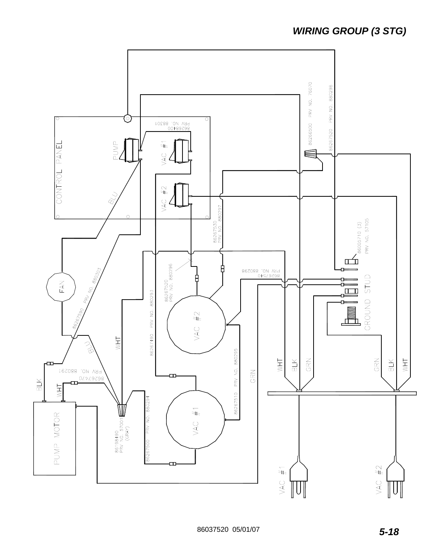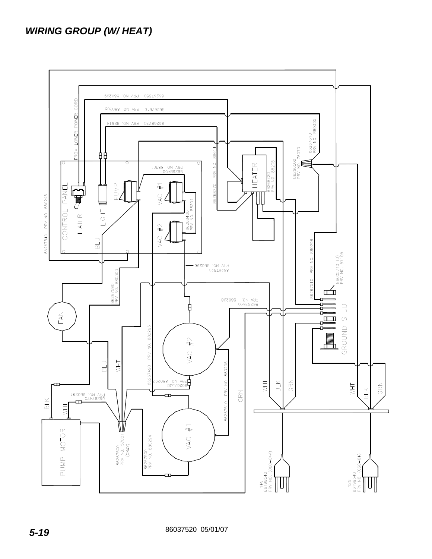## *WIRING GROUP (W/ HEAT)*